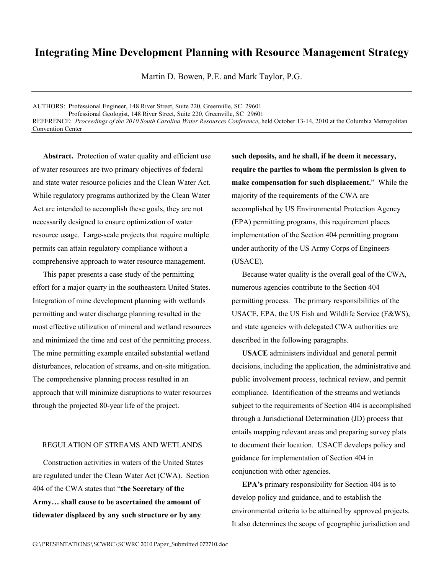## **Integrating Mine Development Planning with Resource Management Strategy**

Martin D. Bowen, P.E. and Mark Taylor, P.G.

AUTHORS: Professional Engineer, 148 River Street, Suite 220, Greenville, SC 29601 Professional Geologist, 148 River Street, Suite 220, Greenville, SC 29601 REFERENCE: *Proceedings of the 2010 South Carolina Water Resources Conference*, held October 13-14, 2010 at the Columbia Metropolitan Convention Center

Abstract. Protection of water quality and efficient use of water resources are two primary objectives of federal and state water resource policies and the Clean Water Act. While regulatory programs authorized by the Clean Water Act are intended to accomplish these goals, they are not necessarily designed to ensure optimization of water resource usage. Large-scale projects that require multiple permits can attain regulatory compliance without a comprehensive approach to water resource management.

This paper presents a case study of the permitting effort for a major quarry in the southeastern United States. Integration of mine development planning with wetlands permitting and water discharge planning resulted in the most effective utilization of mineral and wetland resources and minimized the time and cost of the permitting process. The mine permitting example entailed substantial wetland disturbances, relocation of streams, and on-site mitigation. The comprehensive planning process resulted in an approach that will minimize disruptions to water resources through the projected 80-year life of the project.

## REGULATION OF STREAMS AND WETLANDS

Construction activities in waters of the United States are regulated under the Clean Water Act (CWA). Section 404 of the CWA states that "**the Secretary of the Army… shall cause to be ascertained the amount of tidewater displaced by any such structure or by any** 

**such deposits, and he shall, if he deem it necessary, require the parties to whom the permission is given to make compensation for such displacement.**" While the majority of the requirements of the CWA are accomplished by US Environmental Protection Agency (EPA) permitting programs, this requirement places implementation of the Section 404 permitting program under authority of the US Army Corps of Engineers (USACE).

Because water quality is the overall goal of the CWA, numerous agencies contribute to the Section 404 permitting process. The primary responsibilities of the USACE, EPA, the US Fish and Wildlife Service (F&WS), and state agencies with delegated CWA authorities are described in the following paragraphs.

**USACE** administers individual and general permit decisions, including the application, the administrative and public involvement process, technical review, and permit compliance. Identification of the streams and wetlands subject to the requirements of Section 404 is accomplished through a Jurisdictional Determination (JD) process that entails mapping relevant areas and preparing survey plats to document their location. USACE develops policy and guidance for implementation of Section 404 in conjunction with other agencies.

**EPA's** primary responsibility for Section 404 is to develop policy and guidance, and to establish the environmental criteria to be attained by approved projects. It also determines the scope of geographic jurisdiction and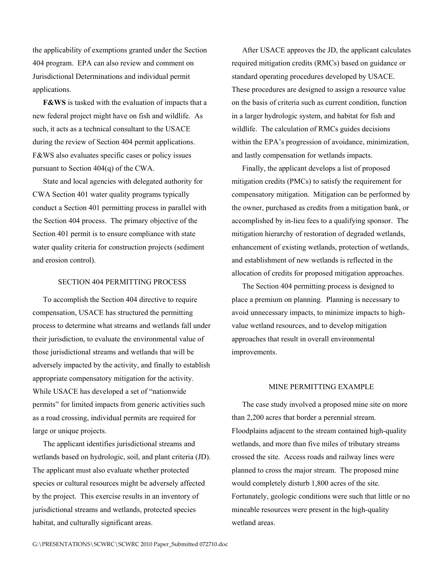the applicability of exemptions granted under the Section 404 program. EPA can also review and comment on Jurisdictional Determinations and individual permit applications.

**F&WS** is tasked with the evaluation of impacts that a new federal project might have on fish and wildlife. As such, it acts as a technical consultant to the USACE during the review of Section 404 permit applications. F&WS also evaluates specific cases or policy issues pursuant to Section 404(q) of the CWA.

State and local agencies with delegated authority for CWA Section 401 water quality programs typically conduct a Section 401 permitting process in parallel with the Section 404 process. The primary objective of the Section 401 permit is to ensure compliance with state water quality criteria for construction projects (sediment and erosion control).

## SECTION 404 PERMITTING PROCESS

To accomplish the Section 404 directive to require compensation, USACE has structured the permitting process to determine what streams and wetlands fall under their jurisdiction, to evaluate the environmental value of those jurisdictional streams and wetlands that will be adversely impacted by the activity, and finally to establish appropriate compensatory mitigation for the activity. While USACE has developed a set of "nationwide permits" for limited impacts from generic activities such as a road crossing, individual permits are required for large or unique projects.

The applicant identifies jurisdictional streams and wetlands based on hydrologic, soil, and plant criteria (JD). The applicant must also evaluate whether protected species or cultural resources might be adversely affected by the project. This exercise results in an inventory of jurisdictional streams and wetlands, protected species habitat, and culturally significant areas.

After USACE approves the JD, the applicant calculates required mitigation credits (RMCs) based on guidance or standard operating procedures developed by USACE. These procedures are designed to assign a resource value on the basis of criteria such as current condition, function in a larger hydrologic system, and habitat for fish and wildlife. The calculation of RMCs guides decisions within the EPA's progression of avoidance, minimization, and lastly compensation for wetlands impacts.

Finally, the applicant develops a list of proposed mitigation credits (PMCs) to satisfy the requirement for compensatory mitigation. Mitigation can be performed by the owner, purchased as credits from a mitigation bank, or accomplished by in-lieu fees to a qualifying sponsor. The mitigation hierarchy of restoration of degraded wetlands, enhancement of existing wetlands, protection of wetlands, and establishment of new wetlands is reflected in the allocation of credits for proposed mitigation approaches.

The Section 404 permitting process is designed to place a premium on planning. Planning is necessary to avoid unnecessary impacts, to minimize impacts to highvalue wetland resources, and to develop mitigation approaches that result in overall environmental improvements.

## MINE PERMITTING EXAMPLE

The case study involved a proposed mine site on more than 2,200 acres that border a perennial stream. Floodplains adjacent to the stream contained high-quality wetlands, and more than five miles of tributary streams crossed the site. Access roads and railway lines were planned to cross the major stream. The proposed mine would completely disturb 1,800 acres of the site. Fortunately, geologic conditions were such that little or no mineable resources were present in the high-quality wetland areas.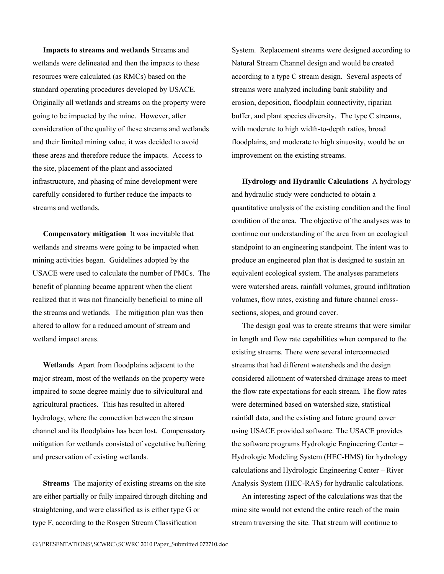**Impacts to streams and wetlands** Streams and wetlands were delineated and then the impacts to these resources were calculated (as RMCs) based on the standard operating procedures developed by USACE. Originally all wetlands and streams on the property were going to be impacted by the mine. However, after consideration of the quality of these streams and wetlands and their limited mining value, it was decided to avoid these areas and therefore reduce the impacts. Access to the site, placement of the plant and associated infrastructure, and phasing of mine development were carefully considered to further reduce the impacts to streams and wetlands.

**Compensatory mitigation** It was inevitable that wetlands and streams were going to be impacted when mining activities began. Guidelines adopted by the USACE were used to calculate the number of PMCs. The benefit of planning became apparent when the client realized that it was not financially beneficial to mine all the streams and wetlands. The mitigation plan was then altered to allow for a reduced amount of stream and wetland impact areas.

**Wetlands** Apart from floodplains adjacent to the major stream, most of the wetlands on the property were impaired to some degree mainly due to silvicultural and agricultural practices. This has resulted in altered hydrology, where the connection between the stream channel and its floodplains has been lost. Compensatory mitigation for wetlands consisted of vegetative buffering and preservation of existing wetlands.

**Streams** The majority of existing streams on the site are either partially or fully impaired through ditching and straightening, and were classified as is either type G or type F, according to the Rosgen Stream Classification

System. Replacement streams were designed according to Natural Stream Channel design and would be created according to a type C stream design. Several aspects of streams were analyzed including bank stability and erosion, deposition, floodplain connectivity, riparian buffer, and plant species diversity. The type C streams, with moderate to high width-to-depth ratios, broad floodplains, and moderate to high sinuosity, would be an improvement on the existing streams.

**Hydrology and Hydraulic Calculations** A hydrology and hydraulic study were conducted to obtain a quantitative analysis of the existing condition and the final condition of the area. The objective of the analyses was to continue our understanding of the area from an ecological standpoint to an engineering standpoint. The intent was to produce an engineered plan that is designed to sustain an equivalent ecological system. The analyses parameters were watershed areas, rainfall volumes, ground infiltration volumes, flow rates, existing and future channel crosssections, slopes, and ground cover.

The design goal was to create streams that were similar in length and flow rate capabilities when compared to the existing streams. There were several interconnected streams that had different watersheds and the design considered allotment of watershed drainage areas to meet the flow rate expectations for each stream. The flow rates were determined based on watershed size, statistical rainfall data, and the existing and future ground cover using USACE provided software. The USACE provides the software programs Hydrologic Engineering Center – Hydrologic Modeling System (HEC-HMS) for hydrology calculations and Hydrologic Engineering Center – River Analysis System (HEC-RAS) for hydraulic calculations.

An interesting aspect of the calculations was that the mine site would not extend the entire reach of the main stream traversing the site. That stream will continue to